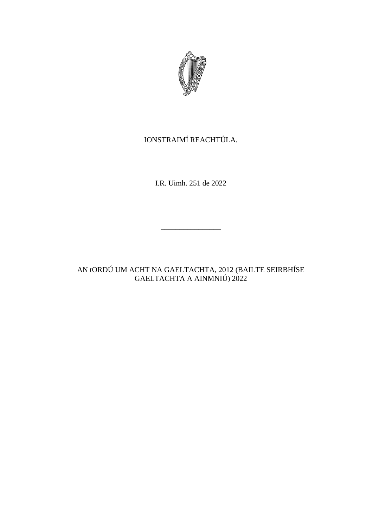

# IONSTRAIMÍ REACHTÚLA.

I.R. Uimh. 251 de 2022

\_\_\_\_\_\_\_\_\_\_\_\_\_\_\_\_

AN tORDÚ UM ACHT NA GAELTACHTA, 2012 (BAILTE SEIRBHÍSE GAELTACHTA A AINMNIÚ) 2022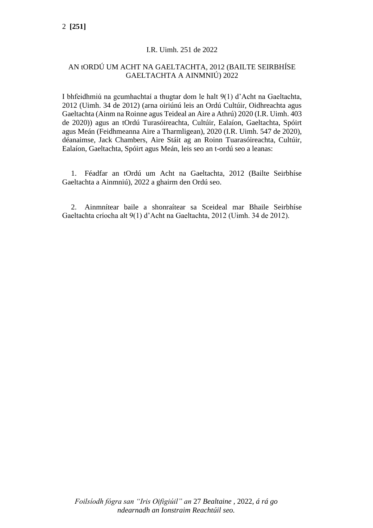#### I.R. Uimh. 251 de 2022

## AN tORDÚ UM ACHT NA GAELTACHTA, 2012 (BAILTE SEIRBHÍSE GAELTACHTA A AINMNIÚ) 2022

I bhfeidhmiú na gcumhachtaí a thugtar dom le halt 9(1) d'Acht na Gaeltachta, 2012 (Uimh. 34 de 2012) (arna oiriúnú leis an Ordú Cultúir, Oidhreachta agus Gaeltachta (Ainm na Roinne agus Teideal an Aire a Athrú) 2020 (I.R. Uimh. 403 de 2020)) agus an tOrdú Turasóireachta, Cultúir, Ealaíon, Gaeltachta, Spóirt agus Meán (Feidhmeanna Aire a Tharmligean), 2020 (I.R. Uimh. 547 de 2020), déanaimse, Jack Chambers, Aire Stáit ag an Roinn Tuarasóireachta, Cultúir, Ealaíon, Gaeltachta, Spóirt agus Meán, leis seo an t-ordú seo a leanas:

1. Féadfar an tOrdú um Acht na Gaeltachta, 2012 (Bailte Seirbhíse Gaeltachta a Ainmniú), 2022 a ghairm den Ordú seo.

2. Ainmnítear baile a shonraítear sa Sceideal mar Bhaile Seirbhíse Gaeltachta críocha alt 9(1) d'Acht na Gaeltachta, 2012 (Uimh. 34 de 2012).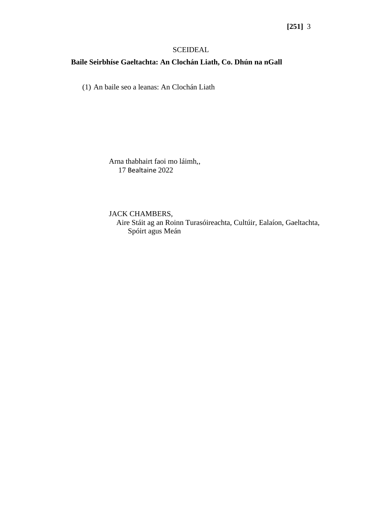## **[251]** 3

#### SCEIDEAL

#### **Baile Seirbhíse Gaeltachta: An Clochán Liath, Co. Dhún na nGall**

(1) An baile seo a leanas: An Clochán Liath

Arna thabhairt faoi mo láimh,, 17 Bealtaine 2022

JACK CHAMBERS, Aire Stáit ag an Roinn Turasóireachta, Cultúir, Ealaíon, Gaeltachta, Spóirt agus Meán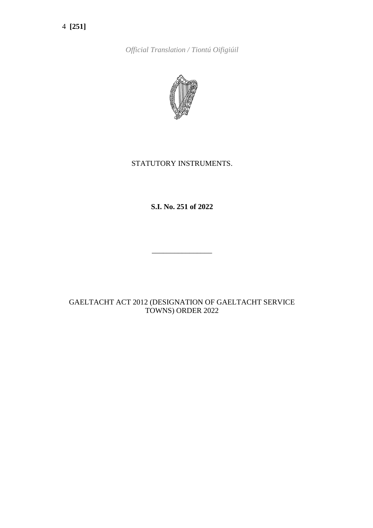4 **[251]**

*Official Translation / Tiontú Oifigiúil*



## STATUTORY INSTRUMENTS.

**S.I. No. 251 of 2022**

\_\_\_\_\_\_\_\_\_\_\_\_\_\_\_\_

## GAELTACHT ACT 2012 (DESIGNATION OF GAELTACHT SERVICE TOWNS) ORDER 2022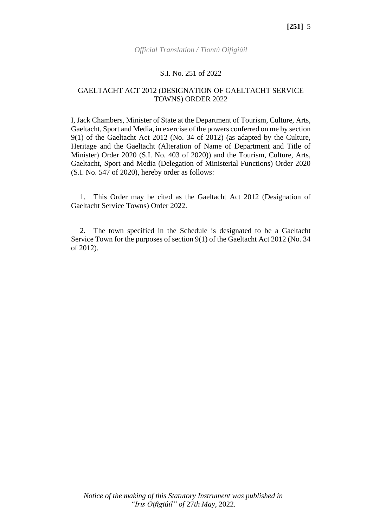#### *Official Translation / Tiontú Oifigiúil*

#### S.I. No. 251 of 2022

#### GAELTACHT ACT 2012 (DESIGNATION OF GAELTACHT SERVICE TOWNS) ORDER 2022

I, Jack Chambers, Minister of State at the Department of Tourism, Culture, Arts, Gaeltacht, Sport and Media, in exercise of the powers conferred on me by section 9(1) of the Gaeltacht Act 2012 (No. 34 of 2012) (as adapted by the Culture, Heritage and the Gaeltacht (Alteration of Name of Department and Title of Minister) Order 2020 (S.I. No. 403 of 2020)) and the Tourism, Culture, Arts, Gaeltacht, Sport and Media (Delegation of Ministerial Functions) Order 2020 (S.I. No. 547 of 2020), hereby order as follows:

1. This Order may be cited as the Gaeltacht Act 2012 (Designation of Gaeltacht Service Towns) Order 2022.

2. The town specified in the Schedule is designated to be a Gaeltacht Service Town for the purposes of section 9(1) of the Gaeltacht Act 2012 (No. 34 of 2012).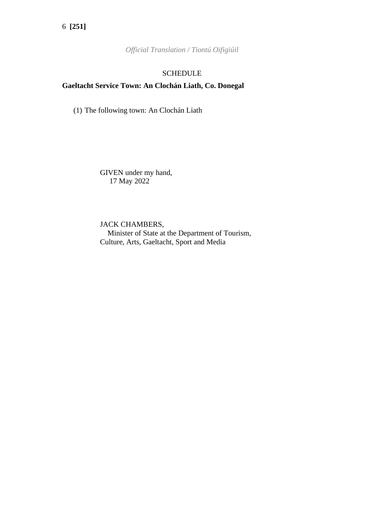*Official Translation / Tiontú Oifigiúil*

#### SCHEDULE

## **Gaeltacht Service Town: An Clochán Liath, Co. Donegal**

(1) The following town: An Clochán Liath

GIVEN under my hand, 17 May 2022

JACK CHAMBERS, Minister of State at the Department of Tourism, Culture, Arts, Gaeltacht, Sport and Media